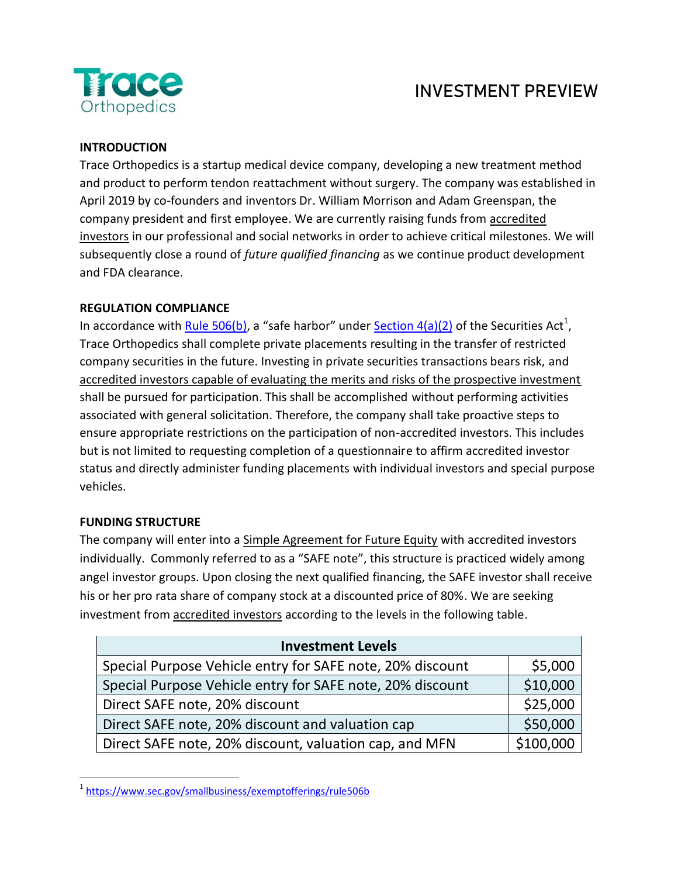

## **INVESTMENT PREVIEW**

## **INTRODUCTION**

Trace Orthopedics is a startup medical device company, developing a new treatment method and product to perform tendon reattachment without surgery. The company was established in April 2019 by co-founders and inventors Dr. William Morrison and Adam Greenspan, the company president and first employee. We are currently raising funds from accredited investors in our professional and social networks in order to achieve critical milestones. We will subsequently close a round of *future qualified financing* as we continue product development and FDA clearance.

## **REGULATION COMPLIANCE**

In accordance with **Rule 506(b)**, a "safe harbor" under **Section 4(a)(2)** of the Securities Act<sup>1</sup>, Trace Orthopedics shall complete private placements resulting in the transfer of restricted company securities in the future. Investing in private securities transactions bears risk, and accredited investors capable of evaluating the merits and risks of the prospective investment shall be pursued for participation. This shall be accomplished without performing activities associated with general solicitation. Therefore, the company shall take proactive steps to ensure appropriate restrictions on the participation of non-accredited investors. This includes but is not limited to requesting completion of a questionnaire to affirm accredited investor status and directly administer funding placements with individual investors and special purpose vehicles.

## **FUNDING STRUCTURE**

The company will enter into a Simple Agreement for Future Equity with accredited investors individually. Commonly referred to as a "SAFE note", this structure is practiced widely among angel investor groups. Upon closing the next qualified financing, the SAFE investor shall receive his or her pro rata share of company stock at a discounted price of 80%. We are seeking investment from accredited investors according to the levels in the following table.

| <b>Investment Levels</b>                                  |           |  |
|-----------------------------------------------------------|-----------|--|
| Special Purpose Vehicle entry for SAFE note, 20% discount | \$5,000   |  |
| Special Purpose Vehicle entry for SAFE note, 20% discount | \$10,000  |  |
| Direct SAFE note, 20% discount                            | \$25,000  |  |
| Direct SAFE note, 20% discount and valuation cap          | \$50,000  |  |
| Direct SAFE note, 20% discount, valuation cap, and MFN    | \$100,000 |  |

<sup>&</sup>lt;sup>1</sup><https://www.sec.gov/smallbusiness/exemptofferings/rule506b>